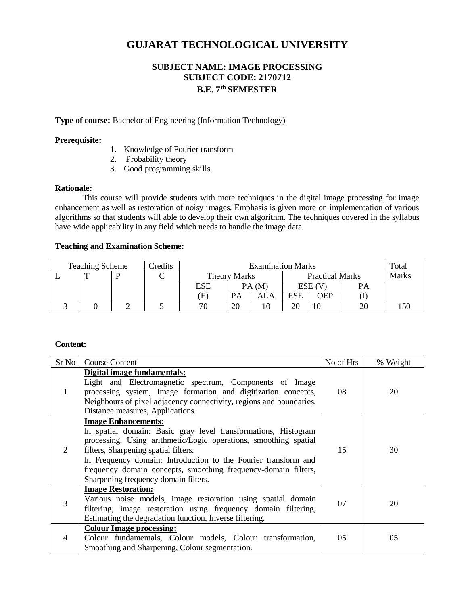# **GUJARAT TECHNOLOGICAL UNIVERSITY**

## **SUBJECT NAME: IMAGE PROCESSING SUBJECT CODE: 2170712 B.E. 7th SEMESTER**

**Type of course:** Bachelor of Engineering (Information Technology)

## **Prerequisite:**

- 1. Knowledge of Fourier transform
- 2. Probability theory
- 3. Good programming skills.

### **Rationale:**

This course will provide students with more techniques in the digital image processing for image enhancement as well as restoration of noisy images. Emphasis is given more on implementation of various algorithms so that students will able to develop their own algorithm. The techniques covered in the syllabus have wide applicability in any field which needs to handle the image data.

### **Teaching and Examination Scheme:**

| <b>Teaching Scheme</b> |  |  | Credits | <b>Examination Marks</b> |                     |            |                        | Total |    |       |
|------------------------|--|--|---------|--------------------------|---------------------|------------|------------------------|-------|----|-------|
|                        |  |  |         |                          | <b>Theory Marks</b> |            | <b>Practical Marks</b> |       |    | Marks |
|                        |  |  |         | ESE                      | PA(M)               |            | ESE (V                 |       | PA |       |
|                        |  |  |         | E)                       |                     | <b>ALA</b> | <b>ESE</b>             | OEP   |    |       |
|                        |  |  |         | $\overline{\phantom{a}}$ | 20                  |            |                        | 10    |    |       |

## **Content:**

| Sr No | <b>Course Content</b>                                                                                                                                                                                                                                                                                                                                                                | No of Hrs | % Weight |
|-------|--------------------------------------------------------------------------------------------------------------------------------------------------------------------------------------------------------------------------------------------------------------------------------------------------------------------------------------------------------------------------------------|-----------|----------|
|       | Digital image fundamentals:<br>Light and Electromagnetic spectrum, Components of Image<br>processing system, Image formation and digitization concepts,<br>Neighbours of pixel adjacency connectivity, regions and boundaries,<br>Distance measures, Applications.                                                                                                                   | 08        | 20       |
| 2     | <b>Image Enhancements:</b><br>In spatial domain: Basic gray level transformations, Histogram<br>processing, Using arithmetic/Logic operations, smoothing spatial<br>filters, Sharpening spatial filters.<br>In Frequency domain: Introduction to the Fourier transform and<br>frequency domain concepts, smoothing frequency-domain filters,<br>Sharpening frequency domain filters. | 15        | 30       |
| 3     | <b>Image Restoration:</b><br>Various noise models, image restoration using spatial domain<br>filtering, image restoration using frequency domain filtering,<br>Estimating the degradation function, Inverse filtering.                                                                                                                                                               | 07        | 20       |
| 4     | <b>Colour Image processing:</b><br>Colour fundamentals, Colour models, Colour transformation,<br>Smoothing and Sharpening, Colour segmentation.                                                                                                                                                                                                                                      | 05        | 05       |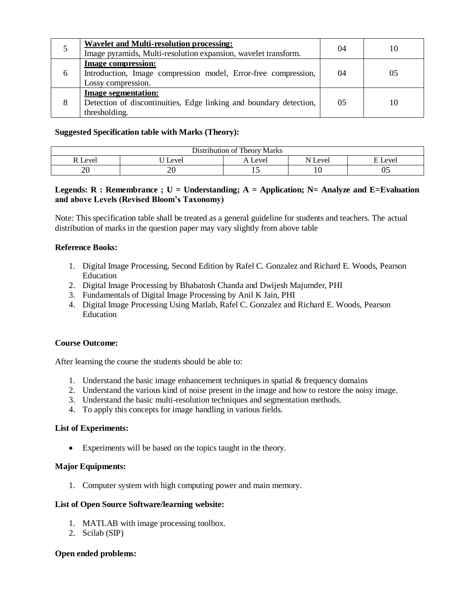|   | <b>Wavelet and Multi-resolution processing:</b>                    | 04             | 10 |
|---|--------------------------------------------------------------------|----------------|----|
|   | Image pyramids, Multi-resolution expansion, wavelet transform.     |                |    |
|   | <b>Image compression:</b>                                          |                |    |
| 6 | Introduction, Image compression model, Error-free compression,     | 04             | 05 |
|   | Lossy compression.                                                 |                |    |
|   | <b>Image segmentation:</b>                                         |                |    |
| 8 | Detection of discontinuities, Edge linking and boundary detection, | 0 <sub>5</sub> | 10 |
|   | thresholding.                                                      |                |    |

## **Suggested Specification table with Marks (Theory):**

| $c_{\rm T}$<br><b>Theory Marks</b><br>Distribution of T |      |      |      |      |  |  |
|---------------------------------------------------------|------|------|------|------|--|--|
| evel                                                    | evel | evel | evel | evel |  |  |
| or<br>∠∪                                                | ∠∪   | * ~  | ΙV   | ∪ັ   |  |  |

## **Legends: R : Remembrance ; U = Understanding; A = Application; N= Analyze and E=Evaluation and above Levels (Revised Bloom's Taxonomy)**

Note: This specification table shall be treated as a general guideline for students and teachers. The actual distribution of marks in the question paper may vary slightly from above table

## **Reference Books:**

- 1. Digital Image Processing, Second Edition by Rafel C. Gonzalez and Richard E. Woods, Pearson Education
- 2. Digital Image Processing by Bhabatosh Chanda and Dwijesh Majumder, PHI
- 3. Fundamentals of Digital Image Processing by Anil K Jain, PHI
- 4. Digital Image Processing Using Matlab, Rafel C. Gonzalez and Richard E. Woods, Pearson Education

## **Course Outcome:**

After learning the course the students should be able to:

- 1. Understand the basic image enhancement techniques in spatial  $\&$  frequency domains
- 2. Understand the various kind of noise present in the image and how to restore the noisy image.
- 3. Understand the basic multi-resolution techniques and segmentation methods.
- 4. To apply this concepts for image handling in various fields.

## **List of Experiments:**

Experiments will be based on the topics taught in the theory.

## **Major Equipments:**

1. Computer system with high computing power and main memory.

## **List of Open Source Software/learning website:**

- 1. MATLAB with image processing toolbox.
- 2. Scilab (SIP)

## **Open ended problems:**